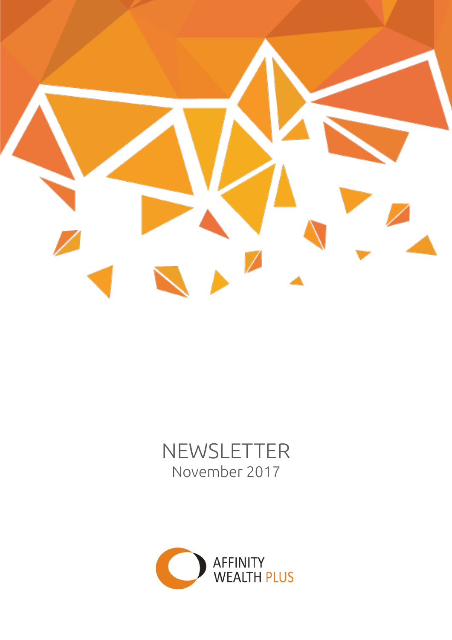

## NEWSLETTER November 2017

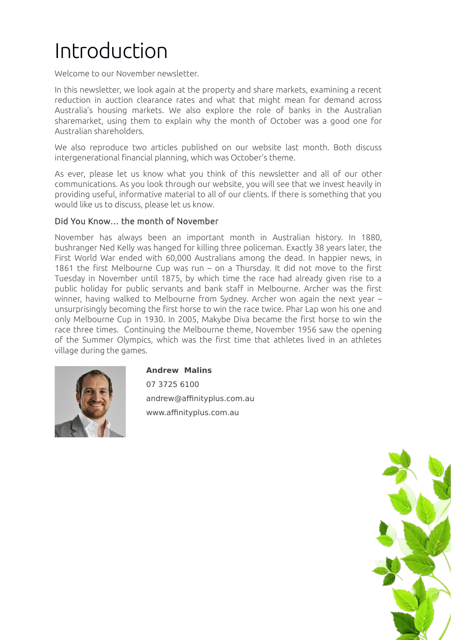# Introduction

Welcome to our November newsletter.

In this newsletter, we look again at the property and share markets, examining a recent reduction in auction clearance rates and what that might mean for demand across Australia's housing markets. We also explore the role of banks in the Australian sharemarket, using them to explain why the month of October was a good one for Australian shareholders.

We also reproduce two articles published on our website last month. Both discuss intergenerational financial planning, which was October's theme.

As ever, please let us know what you think of this newsletter and all of our other communications. As you look through our website, you will see that we invest heavily in providing useful, informative material to all of our clients. If there is something that you would like us to discuss, please let us know.

#### Did You Know… the month of November

November has always been an important month in Australian history. In 1880, bushranger Ned Kelly was hanged for killing three policeman. Exactly 38 years later, the First World War ended with 60,000 Australians among the dead. In happier news, in 1861 the first Melbourne Cup was run – on a Thursday. It did not move to the first Tuesday in November until 1875, by which time the race had already given rise to a public holiday for public servants and bank staff in Melbourne. Archer was the first winner, having walked to Melbourne from Sydney. Archer won again the next year – unsurprisingly becoming the first horse to win the race twice. Phar Lap won his one and only Melbourne Cup in 1930. In 2005, Makybe Diva became the first horse to win the race three times. Continuing the Melbourne theme, November 1956 saw the opening of the Summer Olympics, which was the first time that athletes lived in an athletes village during the games.



**Andrew Malins** 07 3725 6100 andrew@affinityplus.com.au www.affinityplus.com.au

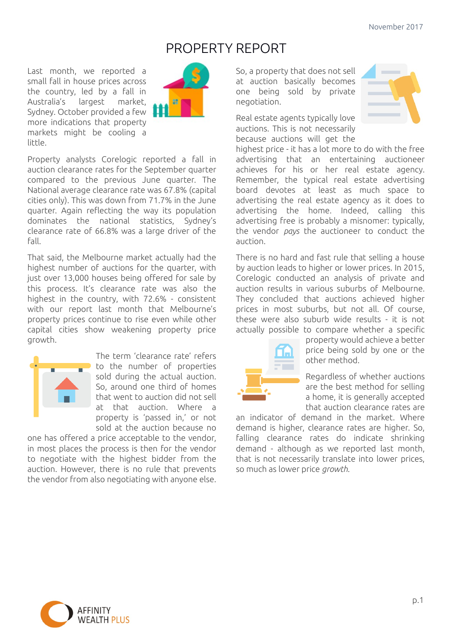## PROPERTY REPORT

Last month, we reported a small fall in house prices across the country, led by a fall in Australia's largest market, Sydney. October provided a few more indications that property markets might be cooling a little.



Property analysts Corelogic reported a fall in auction clearance rates for the September quarter compared to the previous June quarter. The National average clearance rate was 67.8% (capital cities only). This was down from 71.7% in the June quarter. Again reflecting the way its population dominates the national statistics, Sydney's clearance rate of 66.8% was a large driver of the fall.

That said, the Melbourne market actually had the highest number of auctions for the quarter, with just over 13,000 houses being offered for sale by this process. It's clearance rate was also the highest in the country, with 72.6% - consistent with our report last month that Melbourne's property prices continue to rise even while other capital cities show weakening property price growth.



The term 'clearance rate' refers to the number of properties sold during the actual auction. So, around one third of homes that went to auction did not sell at that auction. Where a property is 'passed in,' or not sold at the auction because no

one has offered a price acceptable to the vendor, in most places the process is then for the vendor to negotiate with the highest bidder from the auction. However, there is no rule that prevents the vendor from also negotiating with anyone else.

So, a property that does not sell at auction basically becomes one being sold by private negotiation.

Real estate agents typically love auctions. This is not necessarily because auctions will get the



highest price - it has a lot more to do with the free advertising that an entertaining auctioneer achieves for his or her real estate agency. Remember, the typical real estate advertising board devotes at least as much space to advertising the real estate agency as it does to advertising the home. Indeed, calling this advertising free is probably a misnomer: typically, the vendor *pays* the auctioneer to conduct the auction.

There is no hard and fast rule that selling a house by auction leads to higher or lower prices. In 2015, Corelogic conducted an analysis of private and auction results in various suburbs of Melbourne. They concluded that auctions achieved higher prices in most suburbs, but not all. Of course, these were also suburb wide results - it is not actually possible to compare whether a specific



property would achieve a better price being sold by one or the other method.

Regardless of whether auctions are the best method for selling a home, it is generally accepted that auction clearance rates are

an indicator of demand in the market. Where demand is higher, clearance rates are higher. So, falling clearance rates do indicate shrinking demand - although as we reported last month, that is not necessarily translate into lower prices, so much as lower price *growth*.

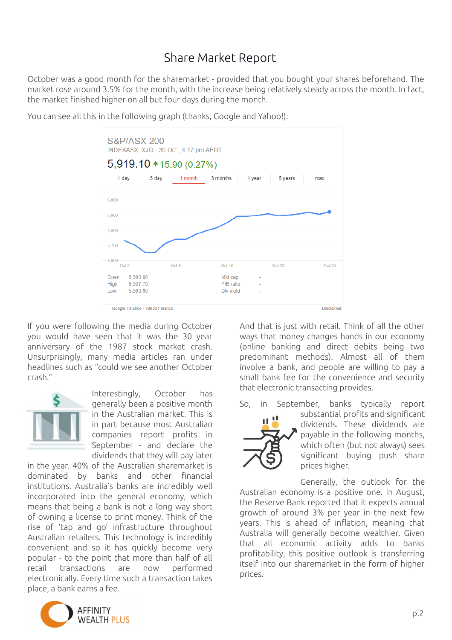### Share Market Report

October was a good month for the sharemarket - provided that you bought your shares beforehand. The market rose around 3.5% for the month, with the increase being relatively steady across the month. In fact, the market finished higher on all but four days during the month.



You can see all this in the following graph (thanks, Google and Yahoo!):

Google Finance - Yahoo Finance

If you were following the media during October you would have seen that it was the 30 year anniversary of the 1987 stock market crash. Unsurprisingly, many media articles ran under headlines such as "could we see another October crash."



Interestingly, October has generally been a positive month in the Australian market. This is in part because most Australian companies report profits in September - and declare the dividends that they will pay later

in the year. 40% of the Australian sharemarket is dominated by banks and other financial institutions. Australia's banks are incredibly well incorporated into the general economy, which means that being a bank is not a long way short of owning a license to print money. Think of the rise of 'tap and go' infrastructure throughout Australian retailers. This technology is incredibly convenient and so it has quickly become very popular - to the point that more than half of all retail transactions are now performed electronically. Every time such a transaction takes place, a bank earns a fee.

And that is just with retail. Think of all the other ways that money changes hands in our economy (online banking and direct debits being two predominant methods). Almost all of them involve a bank, and people are willing to pay a small bank fee for the convenience and security that electronic transacting provides.

So, in September, banks typically report



substantial profits and significant dividends. These dividends are payable in the following months, which often (but not always) sees significant buying push share prices higher.

Generally, the outlook for the Australian economy is a positive one. In August, the Reserve Bank reported that it expects annual growth of around 3% per year in the next few years. This is ahead of inflation, meaning that Australia will generally become wealthier. Given that all economic activity adds to banks profitability, this positive outlook is transferring itself into our sharemarket in the form of higher prices.

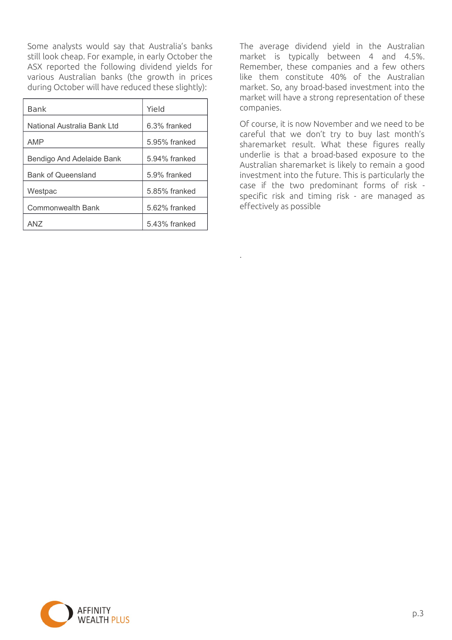Some analysts would say that Australia's banks still look cheap. For example, in early October the ASX reported the following dividend yields for various Australian banks (the growth in prices during October will have reduced these slightly):

| Bank                        | Yield         |
|-----------------------------|---------------|
| National Australia Bank Ltd | 6.3% franked  |
| AMP                         | 5.95% franked |
| Bendigo And Adelaide Bank   | 5.94% franked |
| <b>Bank of Queensland</b>   | 5.9% franked  |
| Westpac                     | 5.85% franked |
| <b>Commonwealth Bank</b>    | 5.62% franked |
| AN7                         | 5.43% franked |

The average dividend yield in the Australian market is typically between 4 and 4.5%. Remember, these companies and a few others like them constitute 40% of the Australian market. So, any broad-based investment into the market will have a strong representation of these companies.

Of course, it is now November and we need to be careful that we don't try to buy last month's sharemarket result. What these figures really underlie is that a broad-based exposure to the Australian sharemarket is likely to remain a good investment into the future. This is particularly the case if the two predominant forms of risk specific risk and timing risk - are managed as effectively as possible

.

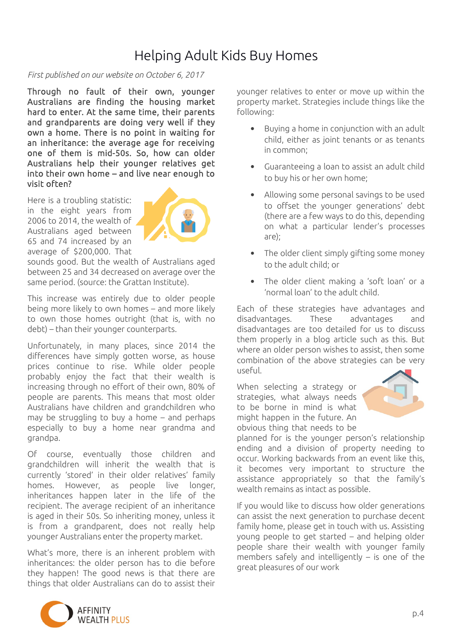## Helping Adult Kids Buy Homes

*First published on our website on October 6, 2017*

Through no fault of their own, younger Australians are finding the housing market hard to enter. At the same time, their parents and grandparents are doing very well if they own a home. There is no point in waiting for an inheritance: the average age for receiving one of them is mid-50s. So, how can older Australians help their younger relatives get into their own home – and live near enough to visit often?

Here is a troubling statistic: in the eight years from 2006 to 2014, the wealth of Australians aged between 65 and 74 increased by an average of \$200,000. That



sounds good. But the wealth of Australians aged between 25 and 34 decreased on average over the same period. (source: the Grattan Institute).

This increase was entirely due to older people being more likely to own homes – and more likely to own those homes outright (that is, with no debt) – than their younger counterparts.

Unfortunately, in many places, since 2014 the differences have simply gotten worse, as house prices continue to rise. While older people probably enjoy the fact that their wealth is increasing through no effort of their own, 80% of people are parents. This means that most older Australians have children and grandchildren who may be struggling to buy a home – and perhaps especially to buy a home near grandma and grandpa.

Of course, eventually those children and grandchildren will inherit the wealth that is currently 'stored' in their older relatives' family homes. However, as people live longer, inheritances happen later in the life of the recipient. The average recipient of an inheritance is aged in their 50s. So inheriting money, unless it is from a grandparent, does not really help younger Australians enter the property market.

What's more, there is an inherent problem with inheritances: the older person has to die before they happen! The good news is that there are things that older Australians can do to assist their younger relatives to enter or move up within the property market. Strategies include things like the following:

- Buying a home in conjunction with an adult child, either as joint tenants or as tenants in common;
- Guaranteeing a loan to assist an adult child to buy his or her own home;
- Allowing some personal savings to be used to offset the younger generations' debt (there are a few ways to do this, depending on what a particular lender's processes are);
- The older client simply gifting some money to the adult child; or
- The older client making a 'soft loan' or a 'normal loan' to the adult child.

Each of these strategies have advantages and disadvantages. These advantages and disadvantages are too detailed for us to discuss them properly in a blog article such as this. But where an older person wishes to assist, then some combination of the above strategies can be very useful.

When selecting a strategy or strategies, what always needs to be borne in mind is what might happen in the future. An obvious thing that needs to be



planned for is the younger person's relationship ending and a division of property needing to occur. Working backwards from an event like this, it becomes very important to structure the assistance appropriately so that the family's wealth remains as intact as possible.

If you would like to discuss how older generations can assist the next generation to purchase decent family home, please get in touch with us. Assisting young people to get started – and helping older people share their wealth with younger family members safely and intelligently – is one of the great pleasures of our work

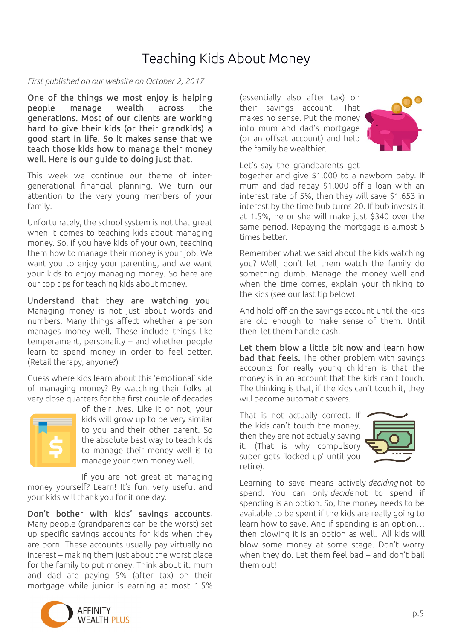## Teaching Kids About Money

#### *First published on our website on October 2, 2017*

One of the things we most enjoy is helping people manage wealth across the generations. Most of our clients are working hard to give their kids (or their grandkids) a good start in life. So it makes sense that we teach those kids how to manage their money well. Here is our guide to doing just that.

This week we continue our theme of intergenerational financial planning. We turn our attention to the very young members of your family.

Unfortunately, the school system is not that great when it comes to teaching kids about managing money. So, if you have kids of your own, teaching them how to manage their money is your job. We want you to enjoy your parenting, and we want your kids to enjoy managing money. So here are our top tips for teaching kids about money.

Understand that they are watching you. Managing money is not just about words and numbers. Many things affect whether a person manages money well. These include things like temperament, personality – and whether people learn to spend money in order to feel better. (Retail therapy, anyone?)

Guess where kids learn about this 'emotional' side of managing money? By watching their folks at very close quarters for the first couple of decades



of their lives. Like it or not, your kids will grow up to be very similar to you and their other parent. So the absolute best way to teach kids to manage their money well is to manage your own money well.

If you are not great at managing money yourself? Learn! It's fun, very useful and your kids will thank you for it one day.

Don't bother with kids' savings accounts. Many people (grandparents can be the worst) set up specific savings accounts for kids when they are born. These accounts usually pay virtually no interest – making them just about the worst place for the family to put money. Think about it: mum and dad are paying 5% (after tax) on their mortgage while junior is earning at most 1.5%

(essentially also after tax) on their savings account. That makes no sense. Put the money into mum and dad's mortgage (or an offset account) and help the family be wealthier.



Let's say the grandparents get

together and give \$1,000 to a newborn baby. If mum and dad repay \$1,000 off a loan with an interest rate of 5%, then they will save \$1,653 in interest by the time bub turns 20. If bub invests it at 1.5%, he or she will make just \$340 over the same period. Repaying the mortgage is almost 5 times better.

Remember what we said about the kids watching you? Well, don't let them watch the family do something dumb. Manage the money well and when the time comes, explain your thinking to the kids (see our last tip below).

And hold off on the savings account until the kids are old enough to make sense of them. Until then, let them handle cash.

Let them blow a little bit now and learn how bad that feels. The other problem with savings accounts for really young children is that the money is in an account that the kids can't touch. The thinking is that, if the kids can't touch it, they will become automatic savers.

That is not actually correct. If the kids can't touch the money, then they are not actually saving it. (That is why compulsory super gets 'locked up' until you retire).



Learning to save means actively *deciding* not to spend. You can only *decide* not to spend if spending is an option. So, the money needs to be available to be spent if the kids are really going to learn how to save. And if spending is an option… then blowing it is an option as well. All kids will blow some money at some stage. Don't worry when they do. Let them feel bad – and don't bail them out!

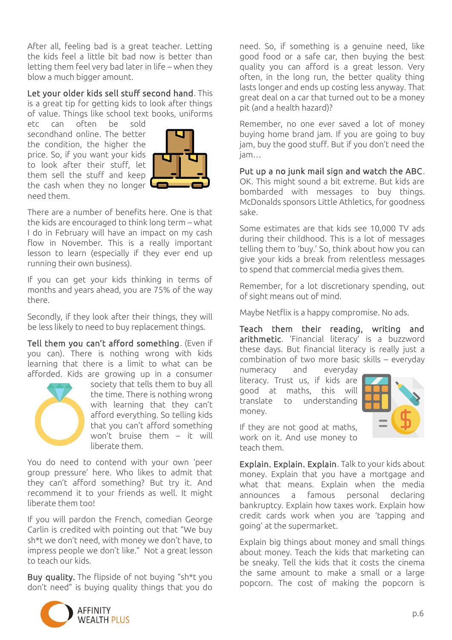After all, feeling bad is a great teacher. Letting the kids feel a little bit bad now is better than letting them feel very bad later in life – when they blow a much bigger amount.

Let your older kids sell stuff second hand. This is a great tip for getting kids to look after things of value. Things like school text books, uniforms

etc can often be sold secondhand online. The better the condition, the higher the price. So, if you want your kids to look after their stuff, let them sell the stuff and keep the cash when they no longer need them.



There are a number of benefits here. One is that the kids are encouraged to think long term – what I do in February will have an impact on my cash flow in November. This is a really important lesson to learn (especially if they ever end up running their own business).

If you can get your kids thinking in terms of months and years ahead, you are 75% of the way there.

Secondly, if they look after their things, they will be less likely to need to buy replacement things.

Tell them you can't afford something. (Even if you can). There is nothing wrong with kids learning that there is a limit to what can be afforded. Kids are growing up in a consumer



society that tells them to buy all the time. There is nothing wrong with learning that they can't afford everything. So telling kids that you can't afford something won't bruise them – it will liberate them.

You do need to contend with your own 'peer group pressure' here. Who likes to admit that they can't afford something? But try it. And recommend it to your friends as well. It might liberate them too!

If you will pardon the French, comedian George Carlin is credited with pointing out that "We buy sh\*t we don't need, with money we don't have, to impress people we don't like." Not a great lesson to teach our kids.

Buy quality. The flipside of not buying "sh\*t you don't need" is buying quality things that you do need. So, if something is a genuine need, like good food or a safe car, then buying the best quality you can afford is a great lesson. Very often, in the long run, the better quality thing lasts longer and ends up costing less anyway. That great deal on a car that turned out to be a money pit (and a health hazard)?

Remember, no one ever saved a lot of money buying home brand jam. If you are going to buy jam, buy the good stuff. But if you don't need the jam…

Put up a no junk mail sign and watch the ABC. OK. This might sound a bit extreme. But kids are bombarded with messages to buy things. McDonalds sponsors Little Athletics, for goodness sake.

Some estimates are that kids see 10,000 TV ads during their childhood. This is a lot of messages telling them to 'buy.' So, think about how you can give your kids a break from relentless messages to spend that commercial media gives them.

Remember, for a lot discretionary spending, out of sight means out of mind.

Maybe Netflix is a happy compromise. No ads.

Teach them their reading, writing and arithmetic. 'Financial literacy' is a buzzword these days. But financial literacy is really just a combination of two more basic skills – everyday numeracy and everyday

literacy. Trust us, if kids are good at maths, this will translate to understanding money.



If they are not good at maths, work on it. And use money to teach them.

Explain. Explain. Explain. Talk to your kids about money. Explain that you have a mortgage and what that means. Explain when the media announces a famous personal declaring bankruptcy. Explain how taxes work. Explain how credit cards work when you are 'tapping and going' at the supermarket.

Explain big things about money and small things about money. Teach the kids that marketing can be sneaky. Tell the kids that it costs the cinema the same amount to make a small or a large popcorn. The cost of making the popcorn is

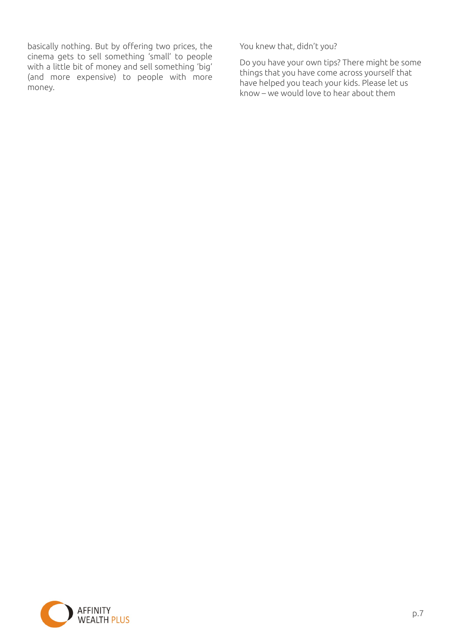basically nothing. But by offering two prices, the cinema gets to sell something 'small' to people with a little bit of money and sell something 'big' (and more expensive) to people with more money.

You knew that, didn't you?

Do you have your own tips? There might be some things that you have come across yourself that have helped you teach your kids. Please let us know – we would love to hear about them